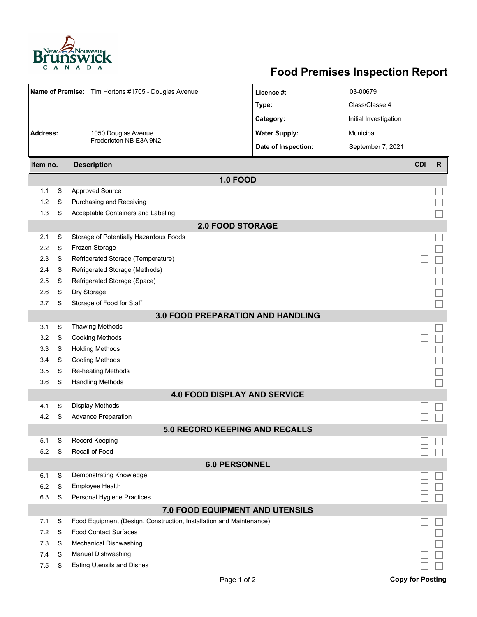

## **Food Premises Inspection Report**

| Name of Premise: Tim Hortons #1705 - Douglas Avenue |   |                                                                     | Licence #:           | 03-00679              |                         |   |  |  |  |  |
|-----------------------------------------------------|---|---------------------------------------------------------------------|----------------------|-----------------------|-------------------------|---|--|--|--|--|
|                                                     |   |                                                                     | Type:                | Class/Classe 4        |                         |   |  |  |  |  |
|                                                     |   |                                                                     | Category:            | Initial Investigation |                         |   |  |  |  |  |
| <b>Address:</b><br>1050 Douglas Avenue              |   |                                                                     | <b>Water Supply:</b> | Municipal             |                         |   |  |  |  |  |
|                                                     |   | Fredericton NB E3A 9N2                                              | Date of Inspection:  | September 7, 2021     |                         |   |  |  |  |  |
|                                                     |   |                                                                     |                      |                       |                         |   |  |  |  |  |
| Item no.                                            |   | <b>Description</b>                                                  |                      |                       | <b>CDI</b>              | R |  |  |  |  |
|                                                     |   | <b>1.0 FOOD</b>                                                     |                      |                       |                         |   |  |  |  |  |
| 1.1                                                 | S | <b>Approved Source</b>                                              |                      |                       |                         |   |  |  |  |  |
| 1.2                                                 | S | Purchasing and Receiving                                            |                      |                       |                         |   |  |  |  |  |
| 1.3                                                 | S | Acceptable Containers and Labeling                                  |                      |                       |                         |   |  |  |  |  |
| <b>2.0 FOOD STORAGE</b>                             |   |                                                                     |                      |                       |                         |   |  |  |  |  |
| 2.1                                                 | S | Storage of Potentially Hazardous Foods                              |                      |                       |                         |   |  |  |  |  |
| 2.2                                                 | S | Frozen Storage                                                      |                      |                       |                         |   |  |  |  |  |
| 2.3                                                 | S | Refrigerated Storage (Temperature)                                  |                      |                       |                         |   |  |  |  |  |
| 2.4                                                 | S | Refrigerated Storage (Methods)                                      |                      |                       |                         |   |  |  |  |  |
| 2.5                                                 | S | Refrigerated Storage (Space)                                        |                      |                       |                         |   |  |  |  |  |
| 2.6                                                 | S | Dry Storage                                                         |                      |                       |                         |   |  |  |  |  |
| 2.7                                                 | S | Storage of Food for Staff                                           |                      |                       |                         |   |  |  |  |  |
| 3.0 FOOD PREPARATION AND HANDLING                   |   |                                                                     |                      |                       |                         |   |  |  |  |  |
| 3.1                                                 | S | <b>Thawing Methods</b>                                              |                      |                       |                         |   |  |  |  |  |
| 3.2                                                 | S | <b>Cooking Methods</b>                                              |                      |                       |                         |   |  |  |  |  |
| 3.3                                                 | S | <b>Holding Methods</b>                                              |                      |                       |                         |   |  |  |  |  |
| 3.4                                                 | S | Cooling Methods                                                     |                      |                       |                         |   |  |  |  |  |
| 3.5                                                 | S | Re-heating Methods                                                  |                      |                       |                         |   |  |  |  |  |
| 3.6                                                 | S | <b>Handling Methods</b>                                             |                      |                       |                         |   |  |  |  |  |
|                                                     |   | <b>4.0 FOOD DISPLAY AND SERVICE</b>                                 |                      |                       |                         |   |  |  |  |  |
| 4.1                                                 | S | Display Methods                                                     |                      |                       |                         |   |  |  |  |  |
| 4.2                                                 | S | <b>Advance Preparation</b>                                          |                      |                       |                         |   |  |  |  |  |
|                                                     |   | 5.0 RECORD KEEPING AND RECALLS                                      |                      |                       |                         |   |  |  |  |  |
| 5.1                                                 | S | Record Keeping                                                      |                      |                       |                         |   |  |  |  |  |
| 5.2                                                 | S | Recall of Food                                                      |                      |                       |                         |   |  |  |  |  |
|                                                     |   | <b>6.0 PERSONNEL</b>                                                |                      |                       |                         |   |  |  |  |  |
| 6.1                                                 | S | Demonstrating Knowledge                                             |                      |                       |                         |   |  |  |  |  |
| 6.2                                                 | S | Employee Health                                                     |                      |                       |                         |   |  |  |  |  |
| 6.3                                                 | S | Personal Hygiene Practices                                          |                      |                       |                         |   |  |  |  |  |
|                                                     |   | 7.0 FOOD EQUIPMENT AND UTENSILS                                     |                      |                       |                         |   |  |  |  |  |
| 7.1                                                 | S | Food Equipment (Design, Construction, Installation and Maintenance) |                      |                       |                         |   |  |  |  |  |
| 7.2                                                 | S | <b>Food Contact Surfaces</b>                                        |                      |                       |                         |   |  |  |  |  |
| 7.3                                                 | S | <b>Mechanical Dishwashing</b>                                       |                      |                       |                         |   |  |  |  |  |
| 7.4                                                 | S | Manual Dishwashing                                                  |                      |                       |                         |   |  |  |  |  |
| 7.5                                                 | S | Eating Utensils and Dishes                                          |                      |                       |                         |   |  |  |  |  |
|                                                     |   | Page 1 of 2                                                         |                      |                       | <b>Copy for Posting</b> |   |  |  |  |  |